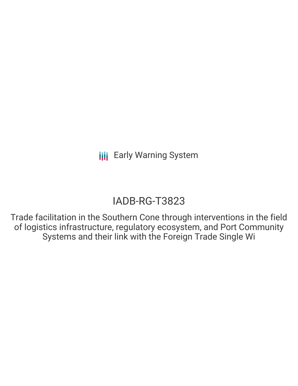# IADB-RG-T3823

Trade facilitation in the Southern Cone through interventions in the field of logistics infrastructure, regulatory ecosystem, and Port Community Systems and their link with the Foreign Trade Single Wi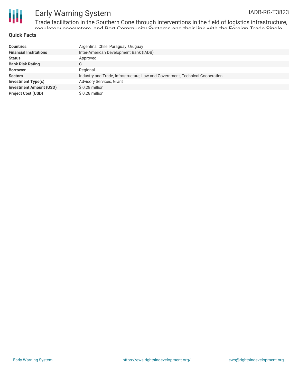

Trade facilitation in the Southern Cone through interventions in the field of logistics infrastructure, regulatory ecosystem, and <mark>Dort Community Systems and their link with the Foreign Trade Single</mark>

#### **Quick Facts**

| <b>Countries</b>               | Argentina, Chile, Paraguay, Uruguay                                           |
|--------------------------------|-------------------------------------------------------------------------------|
| <b>Financial Institutions</b>  | Inter-American Development Bank (IADB)                                        |
| <b>Status</b>                  | Approved                                                                      |
| <b>Bank Risk Rating</b>        | С                                                                             |
| <b>Borrower</b>                | Regional                                                                      |
| <b>Sectors</b>                 | Industry and Trade, Infrastructure, Law and Government, Technical Cooperation |
| <b>Investment Type(s)</b>      | <b>Advisory Services, Grant</b>                                               |
| <b>Investment Amount (USD)</b> | $$0.28$ million                                                               |
| <b>Project Cost (USD)</b>      | $$0.28$ million                                                               |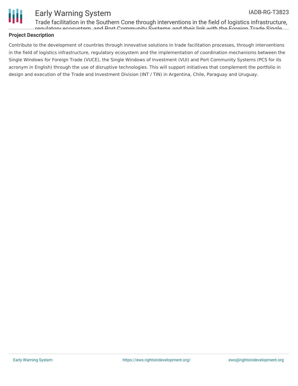

### IADB-RG-T3823

Trade facilitation in the Southern Cone through interventions in the field of logistics infrastructure, regulatory ecosystem, and Port Community Systems and their link with the Foreign Trade Single

### **Project Description**

Contribute to the development of countries through innovative solutions in trade facilitation processes, through interventions in the field of logistics infrastructure, regulatory ecosystem and the implementation of coordination mechanisms between the Single Windows for Foreign Trade (VUCE), the Single Windows of Investment (VUI) and Port Community Systems (PCS for its acronym in English) through the use of disruptive technologies. This will support initiatives that complement the portfolio in design and execution of the Trade and Investment Division (INT / TIN) in Argentina, Chile, Paraguay and Uruguay.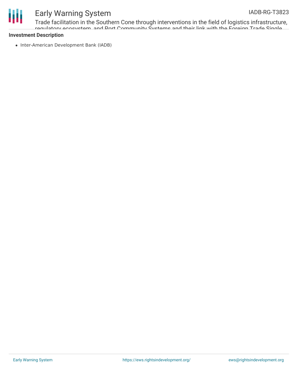

Trade facilitation in the Southern Cone through interventions in the field of logistics infrastructure, regulatory ecosystem, and <mark>Dort Community Systems and their link with the Foreign Trade Single</mark>

### **Investment Description**

• Inter-American Development Bank (IADB)